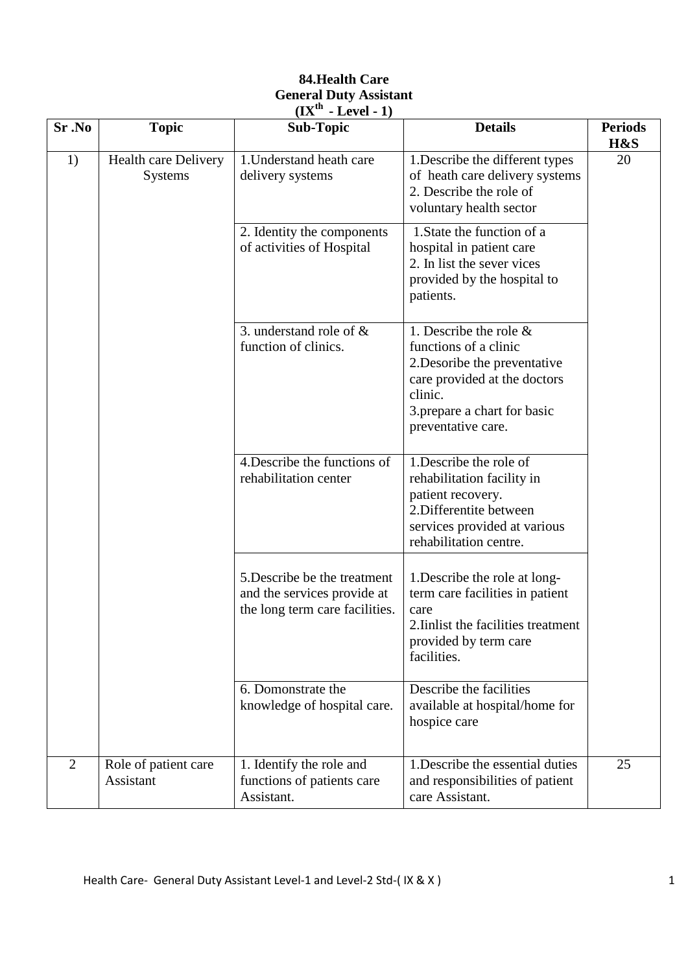### **84.Health Care General Duty Assistant (IXth - Level - 1)**

| Sr.No          | <b>Topic</b>                                  | <b>Sub-Topic</b>                                                                              | <b>Details</b>                                                                                                                                                                      | <b>Periods</b><br>H&S |
|----------------|-----------------------------------------------|-----------------------------------------------------------------------------------------------|-------------------------------------------------------------------------------------------------------------------------------------------------------------------------------------|-----------------------|
| 1)             | <b>Health care Delivery</b><br><b>Systems</b> | 1. Understand heath care<br>delivery systems                                                  | 1. Describe the different types<br>of heath care delivery systems<br>2. Describe the role of<br>voluntary health sector                                                             | 20                    |
|                |                                               | 2. Identity the components<br>of activities of Hospital                                       | 1. State the function of a<br>hospital in patient care<br>2. In list the sever vices<br>provided by the hospital to<br>patients.                                                    |                       |
|                |                                               | 3. understand role of $\&$<br>function of clinics.                                            | 1. Describe the role $\&$<br>functions of a clinic<br>2. Desoribe the preventative<br>care provided at the doctors<br>clinic.<br>3. prepare a chart for basic<br>preventative care. |                       |
|                |                                               | 4. Describe the functions of<br>rehabilitation center                                         | 1. Describe the role of<br>rehabilitation facility in<br>patient recovery.<br>2. Differentite between<br>services provided at various<br>rehabilitation centre.                     |                       |
|                |                                               | 5. Describe be the treatment<br>and the services provide at<br>the long term care facilities. | 1. Describe the role at long-<br>term care facilities in patient<br>care<br>2. Inlist the facilities treatment<br>provided by term care<br>facilities.                              |                       |
|                |                                               | 6. Domonstrate the<br>knowledge of hospital care.                                             | Describe the facilities<br>available at hospital/home for<br>hospice care                                                                                                           |                       |
| $\overline{2}$ | Role of patient care<br>Assistant             | 1. Identify the role and<br>functions of patients care<br>Assistant.                          | 1. Describe the essential duties<br>and responsibilities of patient<br>care Assistant.                                                                                              | 25                    |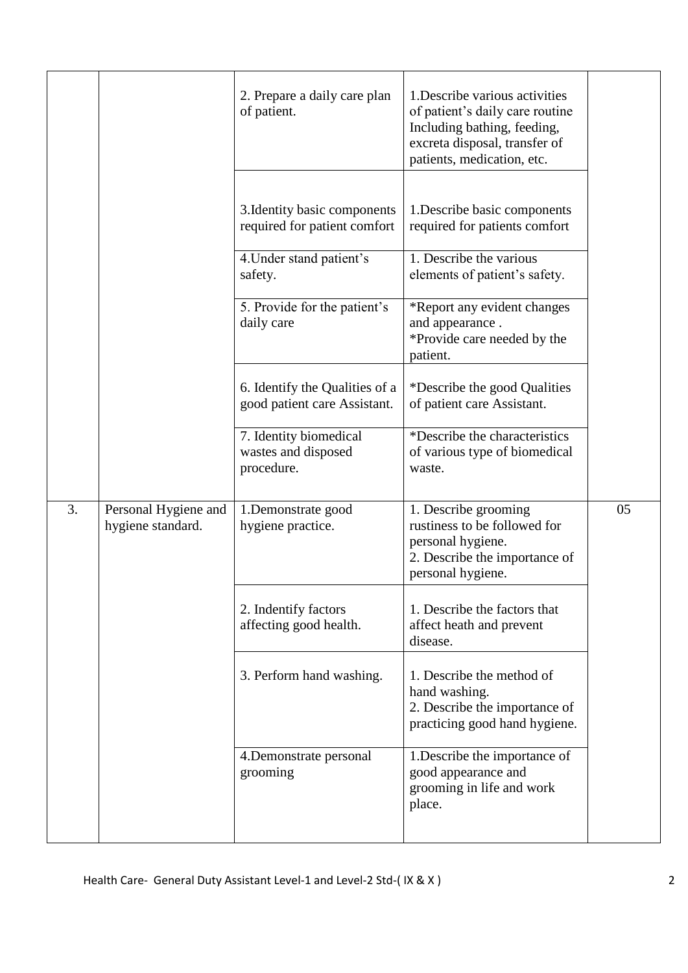|    |                                           | 2. Prepare a daily care plan<br>of patient.                    | 1. Describe various activities<br>of patient's daily care routine<br>Including bathing, feeding,<br>excreta disposal, transfer of<br>patients, medication, etc. |    |
|----|-------------------------------------------|----------------------------------------------------------------|-----------------------------------------------------------------------------------------------------------------------------------------------------------------|----|
|    |                                           | 3. Identity basic components<br>required for patient comfort   | 1. Describe basic components<br>required for patients comfort                                                                                                   |    |
|    |                                           | 4. Under stand patient's<br>safety.                            | 1. Describe the various<br>elements of patient's safety.                                                                                                        |    |
|    |                                           | 5. Provide for the patient's<br>daily care                     | *Report any evident changes<br>and appearance.<br>*Provide care needed by the<br>patient.                                                                       |    |
|    |                                           | 6. Identify the Qualities of a<br>good patient care Assistant. | *Describe the good Qualities<br>of patient care Assistant.                                                                                                      |    |
|    |                                           | 7. Identity biomedical<br>wastes and disposed<br>procedure.    | *Describe the characteristics<br>of various type of biomedical<br>waste.                                                                                        |    |
| 3. | Personal Hygiene and<br>hygiene standard. | 1.Demonstrate good<br>hygiene practice.                        | 1. Describe grooming<br>rustiness to be followed for<br>personal hygiene.<br>2. Describe the importance of<br>personal hygiene.                                 | 05 |
|    |                                           | 2. Indentify factors<br>affecting good health.                 | 1. Describe the factors that<br>affect heath and prevent<br>disease.                                                                                            |    |
|    |                                           | 3. Perform hand washing.                                       | 1. Describe the method of<br>hand washing.<br>2. Describe the importance of<br>practicing good hand hygiene.                                                    |    |
|    |                                           | 4. Demonstrate personal<br>grooming                            | 1. Describe the importance of<br>good appearance and<br>grooming in life and work<br>place.                                                                     |    |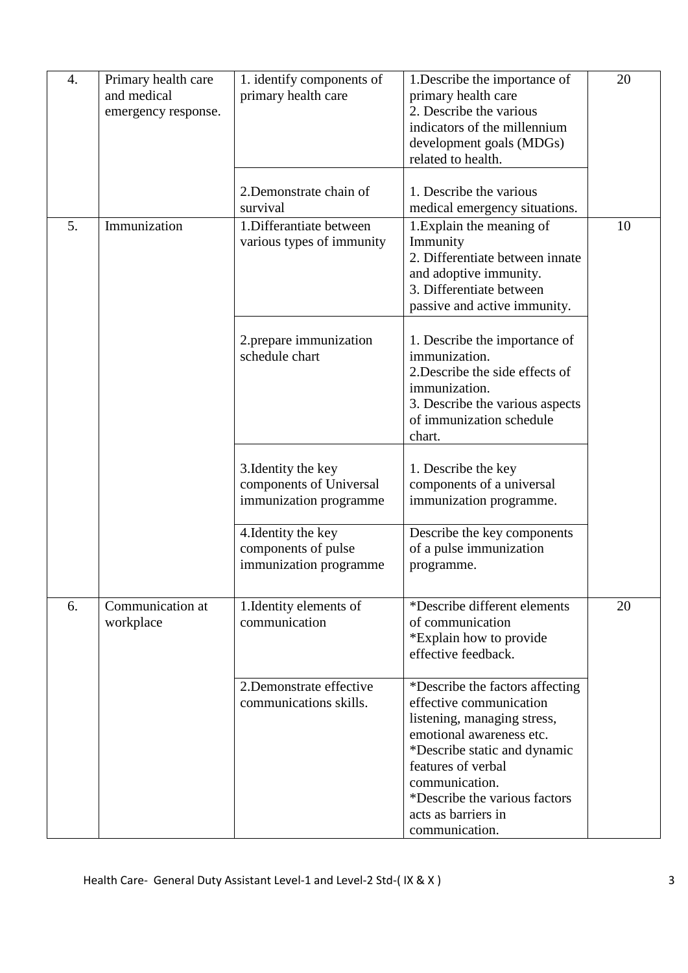| 4. | Primary health care<br>and medical<br>emergency response. | 1. identify components of<br>primary health care                         | 1. Describe the importance of<br>primary health care<br>2. Describe the various<br>indicators of the millennium<br>development goals (MDGs)<br>related to health.                                                                                                       | 20 |
|----|-----------------------------------------------------------|--------------------------------------------------------------------------|-------------------------------------------------------------------------------------------------------------------------------------------------------------------------------------------------------------------------------------------------------------------------|----|
|    |                                                           | 2. Demonstrate chain of<br>survival                                      | 1. Describe the various<br>medical emergency situations.                                                                                                                                                                                                                |    |
| 5. | Immunization                                              | 1. Differantiate between<br>various types of immunity                    | 1. Explain the meaning of<br>Immunity<br>2. Differentiate between innate<br>and adoptive immunity.<br>3. Differentiate between<br>passive and active immunity.                                                                                                          | 10 |
|    |                                                           | 2. prepare immunization<br>schedule chart                                | 1. Describe the importance of<br>immunization.<br>2. Describe the side effects of<br>immunization.<br>3. Describe the various aspects<br>of immunization schedule<br>chart.                                                                                             |    |
|    |                                                           | 3. Identity the key<br>components of Universal<br>immunization programme | 1. Describe the key<br>components of a universal<br>immunization programme.                                                                                                                                                                                             |    |
|    |                                                           | 4. Identity the key<br>components of pulse<br>immunization programme     | Describe the key components<br>of a pulse immunization<br>programme.                                                                                                                                                                                                    |    |
| 6. | Communication at<br>workplace                             | 1. Identity elements of<br>communication                                 | *Describe different elements<br>of communication<br>*Explain how to provide<br>effective feedback.                                                                                                                                                                      | 20 |
|    |                                                           | 2.Demonstrate effective<br>communications skills.                        | *Describe the factors affecting<br>effective communication<br>listening, managing stress,<br>emotional awareness etc.<br>*Describe static and dynamic<br>features of verbal<br>communication.<br>*Describe the various factors<br>acts as barriers in<br>communication. |    |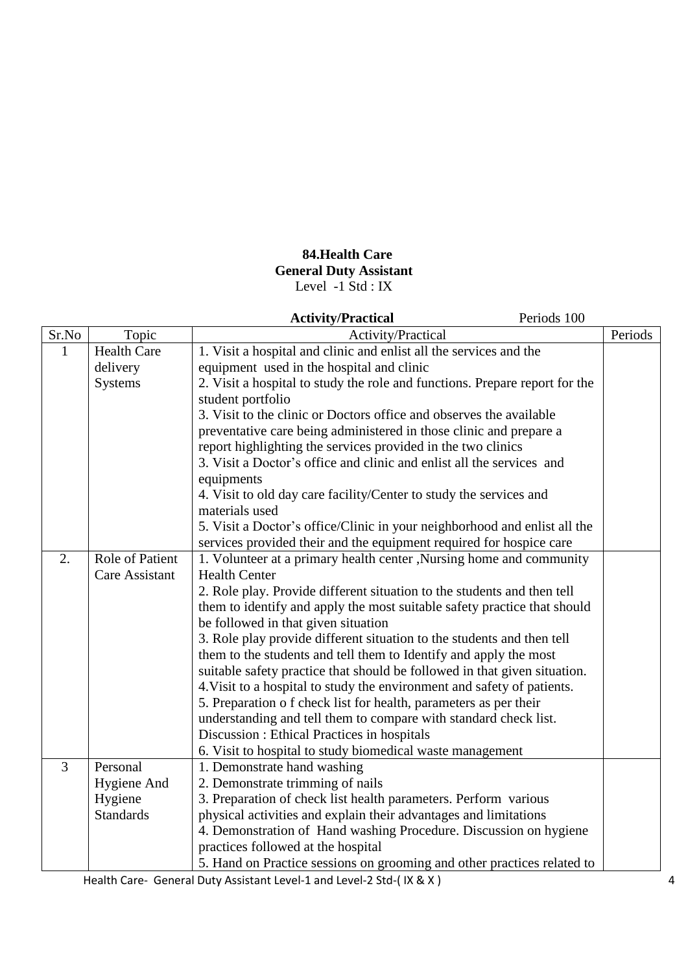## **84.Health Care General Duty Assistant**  Level -1 Std : IX

|                |                        | Periods 100<br><b>Activity/Practical</b>                                    |         |
|----------------|------------------------|-----------------------------------------------------------------------------|---------|
| Sr.No          | Topic                  | Activity/Practical                                                          | Periods |
| $\mathbf{1}$   | <b>Health Care</b>     | 1. Visit a hospital and clinic and enlist all the services and the          |         |
|                | delivery               | equipment used in the hospital and clinic                                   |         |
|                | <b>Systems</b>         | 2. Visit a hospital to study the role and functions. Prepare report for the |         |
|                |                        | student portfolio                                                           |         |
|                |                        | 3. Visit to the clinic or Doctors office and observes the available         |         |
|                |                        | preventative care being administered in those clinic and prepare a          |         |
|                |                        | report highlighting the services provided in the two clinics                |         |
|                |                        | 3. Visit a Doctor's office and clinic and enlist all the services and       |         |
|                |                        | equipments                                                                  |         |
|                |                        | 4. Visit to old day care facility/Center to study the services and          |         |
|                |                        | materials used                                                              |         |
|                |                        | 5. Visit a Doctor's office/Clinic in your neighborhood and enlist all the   |         |
|                |                        | services provided their and the equipment required for hospice care         |         |
| 2.             | <b>Role of Patient</b> | 1. Volunteer at a primary health center , Nursing home and community        |         |
|                | <b>Care Assistant</b>  | <b>Health Center</b>                                                        |         |
|                |                        | 2. Role play. Provide different situation to the students and then tell     |         |
|                |                        | them to identify and apply the most suitable safety practice that should    |         |
|                |                        | be followed in that given situation                                         |         |
|                |                        | 3. Role play provide different situation to the students and then tell      |         |
|                |                        | them to the students and tell them to Identify and apply the most           |         |
|                |                        | suitable safety practice that should be followed in that given situation.   |         |
|                |                        | 4. Visit to a hospital to study the environment and safety of patients.     |         |
|                |                        | 5. Preparation of check list for health, parameters as per their            |         |
|                |                        | understanding and tell them to compare with standard check list.            |         |
|                |                        | Discussion : Ethical Practices in hospitals                                 |         |
|                |                        | 6. Visit to hospital to study biomedical waste management                   |         |
| $\overline{3}$ | Personal               | 1. Demonstrate hand washing                                                 |         |
|                | Hygiene And            | 2. Demonstrate trimming of nails                                            |         |
|                | Hygiene                | 3. Preparation of check list health parameters. Perform various             |         |
|                | <b>Standards</b>       | physical activities and explain their advantages and limitations            |         |
|                |                        | 4. Demonstration of Hand washing Procedure. Discussion on hygiene           |         |
|                |                        | practices followed at the hospital                                          |         |
|                |                        | 5. Hand on Practice sessions on grooming and other practices related to     |         |

Health Care- General Duty Assistant Level-1 and Level-2 Std-(IX & X) 4 4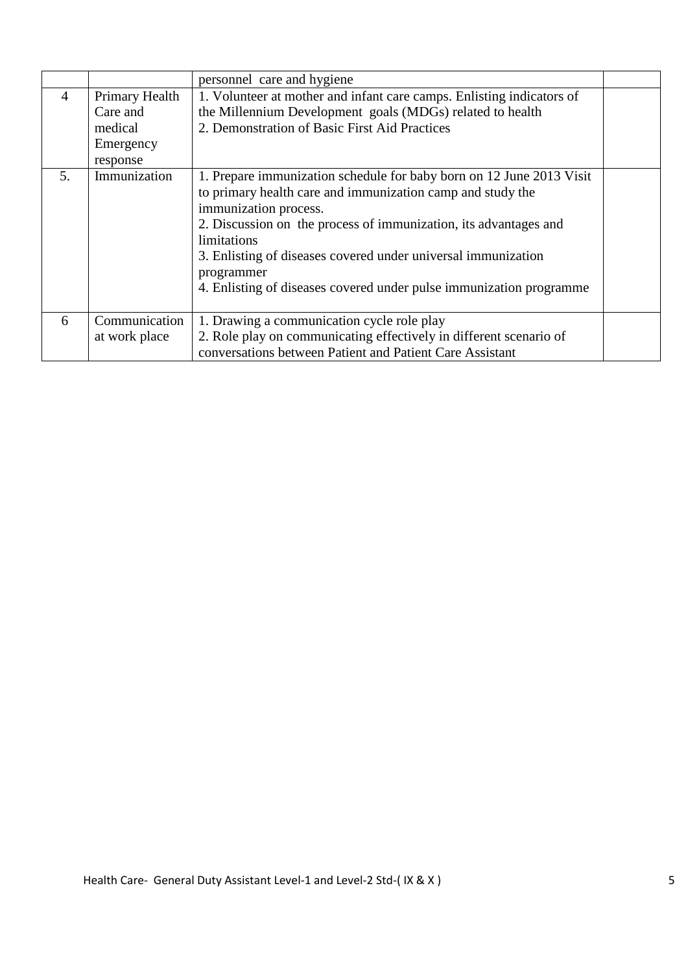|                |                | personnel care and hygiene                                            |  |
|----------------|----------------|-----------------------------------------------------------------------|--|
| $\overline{4}$ | Primary Health | 1. Volunteer at mother and infant care camps. Enlisting indicators of |  |
|                | Care and       | the Millennium Development goals (MDGs) related to health             |  |
|                | medical        | 2. Demonstration of Basic First Aid Practices                         |  |
|                | Emergency      |                                                                       |  |
|                | response       |                                                                       |  |
| 5.             | Immunization   | 1. Prepare immunization schedule for baby born on 12 June 2013 Visit  |  |
|                |                | to primary health care and immunization camp and study the            |  |
|                |                | immunization process.                                                 |  |
|                |                | 2. Discussion on the process of immunization, its advantages and      |  |
|                |                | limitations                                                           |  |
|                |                | 3. Enlisting of diseases covered under universal immunization         |  |
|                |                | programmer                                                            |  |
|                |                | 4. Enlisting of diseases covered under pulse immunization programme   |  |
|                |                |                                                                       |  |
| 6              | Communication  | 1. Drawing a communication cycle role play                            |  |
|                | at work place  | 2. Role play on communicating effectively in different scenario of    |  |
|                |                | conversations between Patient and Patient Care Assistant              |  |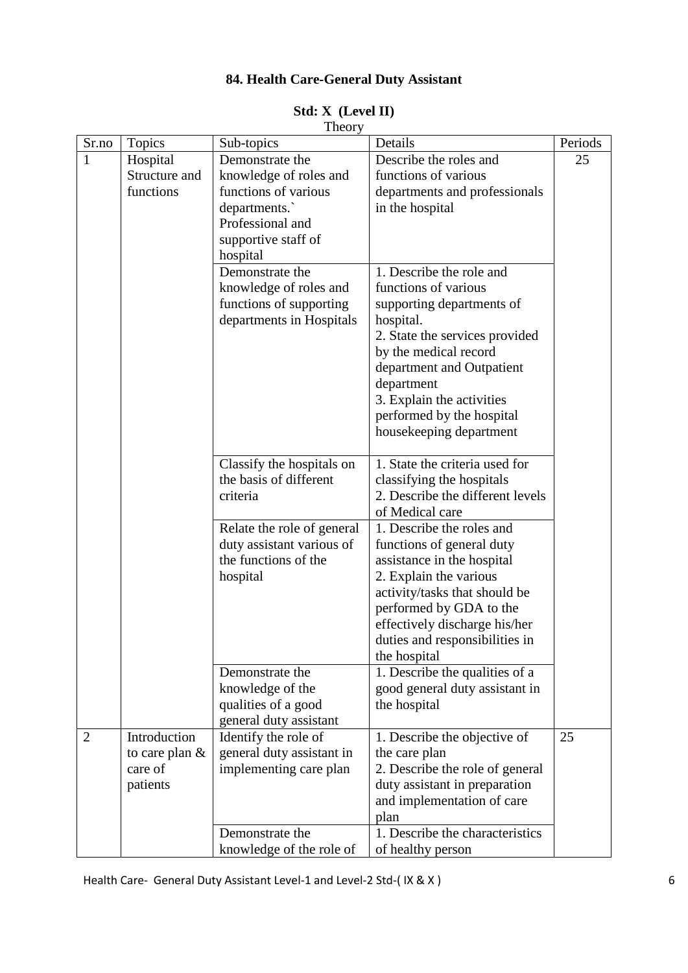# **84. Health Care-General Duty Assistant**

| Theory |                             |                            |                                                  |         |
|--------|-----------------------------|----------------------------|--------------------------------------------------|---------|
| Sr.no  | <b>Topics</b>               | Sub-topics                 | Details                                          | Periods |
| 1      | Hospital                    | Demonstrate the            | Describe the roles and                           | 25      |
|        | Structure and               | knowledge of roles and     | functions of various                             |         |
|        | functions                   | functions of various       | departments and professionals                    |         |
|        |                             | departments.               | in the hospital                                  |         |
|        |                             | Professional and           |                                                  |         |
|        |                             | supportive staff of        |                                                  |         |
|        |                             | hospital                   |                                                  |         |
|        |                             | Demonstrate the            | 1. Describe the role and                         |         |
|        |                             | knowledge of roles and     | functions of various                             |         |
|        |                             | functions of supporting    | supporting departments of                        |         |
|        |                             | departments in Hospitals   | hospital.                                        |         |
|        |                             |                            | 2. State the services provided                   |         |
|        |                             |                            | by the medical record                            |         |
|        |                             |                            | department and Outpatient                        |         |
|        |                             |                            | department                                       |         |
|        |                             |                            | 3. Explain the activities                        |         |
|        |                             |                            | performed by the hospital                        |         |
|        |                             |                            | housekeeping department                          |         |
|        |                             |                            |                                                  |         |
|        |                             | Classify the hospitals on  | 1. State the criteria used for                   |         |
|        |                             | the basis of different     | classifying the hospitals                        |         |
|        |                             | criteria                   | 2. Describe the different levels                 |         |
|        |                             |                            | of Medical care                                  |         |
|        |                             | Relate the role of general | 1. Describe the roles and                        |         |
|        |                             | duty assistant various of  | functions of general duty                        |         |
|        |                             | the functions of the       | assistance in the hospital                       |         |
|        |                             | hospital                   | 2. Explain the various                           |         |
|        |                             |                            | activity/tasks that should be                    |         |
|        |                             |                            | performed by GDA to the                          |         |
|        |                             |                            | effectively discharge his/her                    |         |
|        |                             |                            | duties and responsibilities in                   |         |
|        |                             |                            | the hospital                                     |         |
|        |                             | Demonstrate the            | 1. Describe the qualities of a                   |         |
|        |                             | knowledge of the           | good general duty assistant in                   |         |
|        |                             | qualities of a good        | the hospital                                     |         |
|        |                             | general duty assistant     |                                                  |         |
| 2      | Introduction                | Identify the role of       | 1. Describe the objective of                     | 25      |
|        | to care plan $&$<br>care of | general duty assistant in  | the care plan<br>2. Describe the role of general |         |
|        |                             | implementing care plan     | duty assistant in preparation                    |         |
|        | patients                    |                            |                                                  |         |
|        |                             |                            | and implementation of care                       |         |
|        |                             |                            | plan<br>1. Describe the characteristics          |         |
|        |                             | Demonstrate the            |                                                  |         |
|        |                             | knowledge of the role of   | of healthy person                                |         |

#### **Std: X (Level II)**

Health Care- General Duty Assistant Level-1 and Level-2 Std-(IX & X) 6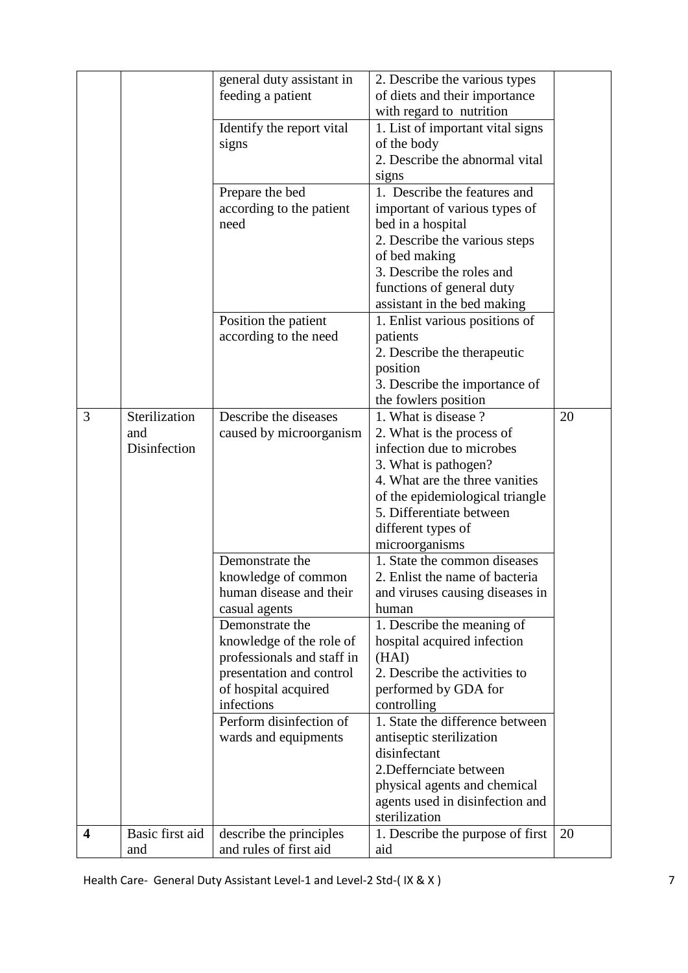|                         |                 | general duty assistant in  | 2. Describe the various types    |    |
|-------------------------|-----------------|----------------------------|----------------------------------|----|
|                         |                 | feeding a patient          | of diets and their importance    |    |
|                         |                 |                            | with regard to nutrition         |    |
|                         |                 | Identify the report vital  | 1. List of important vital signs |    |
|                         |                 | signs                      | of the body                      |    |
|                         |                 |                            | 2. Describe the abnormal vital   |    |
|                         |                 |                            | signs                            |    |
|                         |                 | Prepare the bed            | 1. Describe the features and     |    |
|                         |                 | according to the patient   | important of various types of    |    |
|                         |                 | need                       | bed in a hospital                |    |
|                         |                 |                            | 2. Describe the various steps    |    |
|                         |                 |                            | of bed making                    |    |
|                         |                 |                            | 3. Describe the roles and        |    |
|                         |                 |                            | functions of general duty        |    |
|                         |                 |                            | assistant in the bed making      |    |
|                         |                 | Position the patient       | 1. Enlist various positions of   |    |
|                         |                 | according to the need      | patients                         |    |
|                         |                 |                            | 2. Describe the therapeutic      |    |
|                         |                 |                            | position                         |    |
|                         |                 |                            | 3. Describe the importance of    |    |
|                         |                 |                            | the fowlers position             |    |
| 3                       | Sterilization   | Describe the diseases      | 1. What is disease?              | 20 |
|                         | and             | caused by microorganism    | 2. What is the process of        |    |
|                         | Disinfection    |                            | infection due to microbes        |    |
|                         |                 |                            | 3. What is pathogen?             |    |
|                         |                 |                            | 4. What are the three vanities   |    |
|                         |                 |                            | of the epidemiological triangle  |    |
|                         |                 |                            | 5. Differentiate between         |    |
|                         |                 |                            | different types of               |    |
|                         |                 |                            | microorganisms                   |    |
|                         |                 | Demonstrate the            | 1. State the common diseases     |    |
|                         |                 | knowledge of common        | 2. Enlist the name of bacteria   |    |
|                         |                 | human disease and their    | and viruses causing diseases in  |    |
|                         |                 | casual agents              | human                            |    |
|                         |                 | Demonstrate the            | 1. Describe the meaning of       |    |
|                         |                 | knowledge of the role of   | hospital acquired infection      |    |
|                         |                 | professionals and staff in | (HAI)                            |    |
|                         |                 | presentation and control   | 2. Describe the activities to    |    |
|                         |                 | of hospital acquired       | performed by GDA for             |    |
|                         |                 | infections                 | controlling                      |    |
|                         |                 | Perform disinfection of    | 1. State the difference between  |    |
|                         |                 | wards and equipments       | antiseptic sterilization         |    |
|                         |                 |                            | disinfectant                     |    |
|                         |                 |                            | 2. Deffernciate between          |    |
|                         |                 |                            | physical agents and chemical     |    |
|                         |                 |                            | agents used in disinfection and  |    |
|                         |                 |                            | sterilization                    |    |
| $\overline{\mathbf{4}}$ | Basic first aid | describe the principles    | 1. Describe the purpose of first | 20 |
|                         | and             | and rules of first aid     | aid                              |    |

Health Care- General Duty Assistant Level-1 and Level-2 Std-(IX & X) 7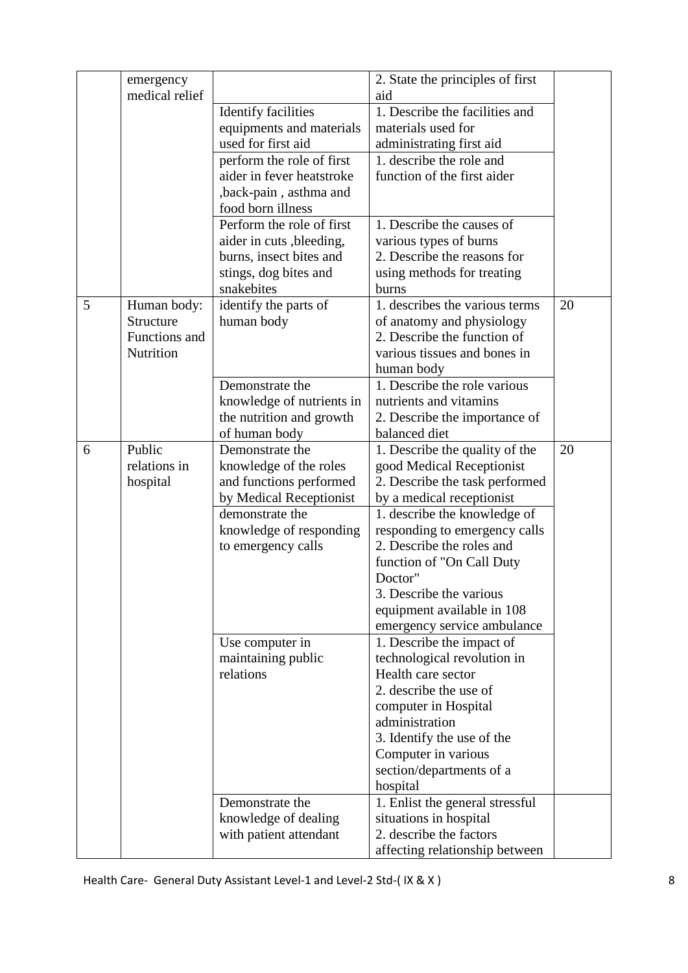|   | emergency      |                                  | 2. State the principles of first                            |    |
|---|----------------|----------------------------------|-------------------------------------------------------------|----|
|   | medical relief |                                  | aid                                                         |    |
|   |                | <b>Identify facilities</b>       | 1. Describe the facilities and                              |    |
|   |                | equipments and materials         | materials used for                                          |    |
|   |                | used for first aid               | administrating first aid                                    |    |
|   |                | perform the role of first        | 1. describe the role and                                    |    |
|   |                | aider in fever heatstroke        | function of the first aider                                 |    |
|   |                | ,back-pain, asthma and           |                                                             |    |
|   |                | food born illness                |                                                             |    |
|   |                | Perform the role of first        | 1. Describe the causes of                                   |    |
|   |                | aider in cuts, bleeding,         | various types of burns                                      |    |
|   |                | burns, insect bites and          | 2. Describe the reasons for                                 |    |
|   |                | stings, dog bites and            | using methods for treating                                  |    |
|   |                | snakebites                       | burns                                                       |    |
| 5 | Human body:    | identify the parts of            | 1. describes the various terms                              | 20 |
|   | Structure      | human body                       | of anatomy and physiology                                   |    |
|   | Functions and  |                                  | 2. Describe the function of                                 |    |
|   | Nutrition      |                                  | various tissues and bones in                                |    |
|   |                |                                  | human body                                                  |    |
|   |                | Demonstrate the                  | 1. Describe the role various                                |    |
|   |                | knowledge of nutrients in        | nutrients and vitamins                                      |    |
|   |                | the nutrition and growth         | 2. Describe the importance of                               |    |
| 6 | Public         | of human body<br>Demonstrate the | balanced diet                                               | 20 |
|   | relations in   | knowledge of the roles           | 1. Describe the quality of the<br>good Medical Receptionist |    |
|   | hospital       | and functions performed          | 2. Describe the task performed                              |    |
|   |                | by Medical Receptionist          | by a medical receptionist                                   |    |
|   |                | demonstrate the                  | 1. describe the knowledge of                                |    |
|   |                | knowledge of responding          | responding to emergency calls                               |    |
|   |                | to emergency calls               | 2. Describe the roles and                                   |    |
|   |                |                                  | function of "On Call Duty                                   |    |
|   |                |                                  | Doctor"                                                     |    |
|   |                |                                  | 3. Describe the various                                     |    |
|   |                |                                  | equipment available in 108                                  |    |
|   |                |                                  | emergency service ambulance                                 |    |
|   |                | Use computer in                  | 1. Describe the impact of                                   |    |
|   |                | maintaining public               | technological revolution in                                 |    |
|   |                | relations                        | Health care sector                                          |    |
|   |                |                                  | 2. describe the use of                                      |    |
|   |                |                                  | computer in Hospital                                        |    |
|   |                |                                  | administration                                              |    |
|   |                |                                  | 3. Identify the use of the                                  |    |
|   |                |                                  | Computer in various                                         |    |
|   |                |                                  | section/departments of a                                    |    |
|   |                |                                  | hospital                                                    |    |
|   |                | Demonstrate the                  | 1. Enlist the general stressful                             |    |
|   |                | knowledge of dealing             | situations in hospital                                      |    |
|   |                | with patient attendant           | 2. describe the factors                                     |    |
|   |                |                                  | affecting relationship between                              |    |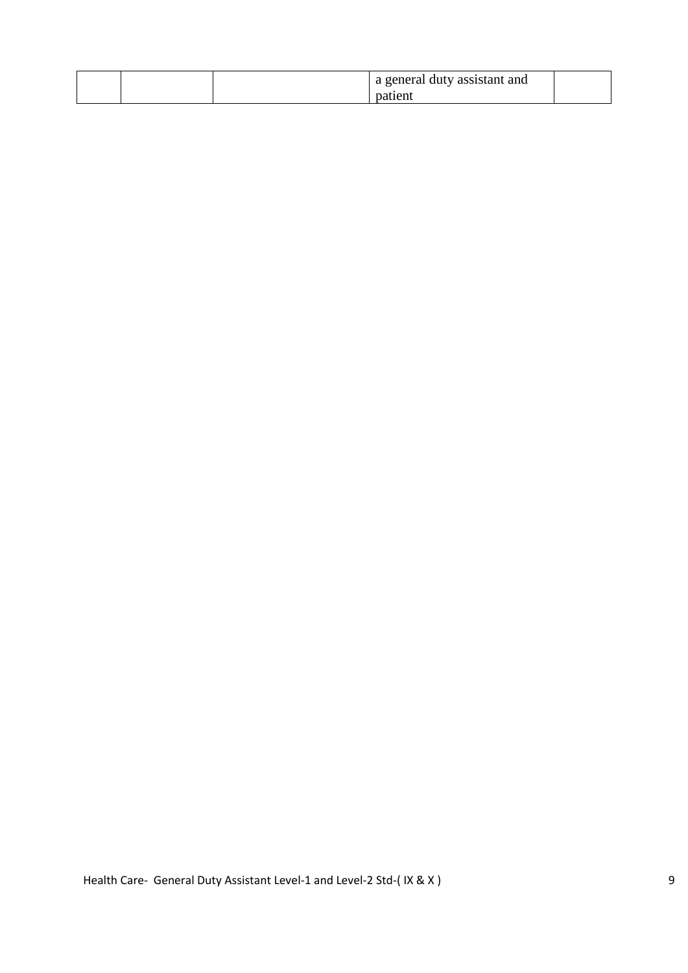|  | a general duty assistant and |  |
|--|------------------------------|--|
|  |                              |  |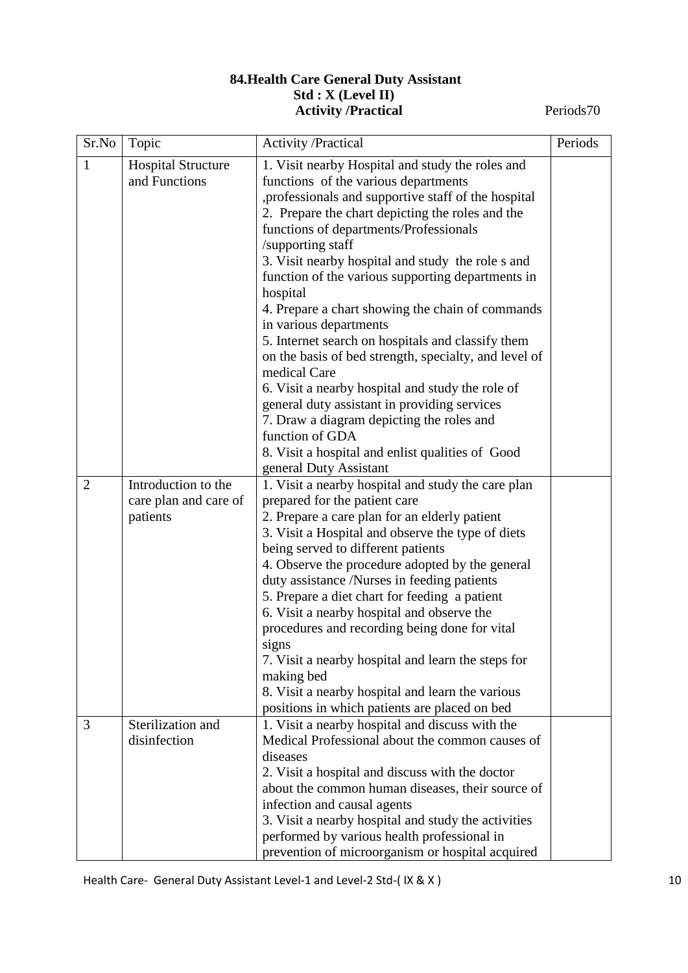### **84.Health Care General Duty Assistant Std : X (Level II) Activity /Practical** Periods70

| Sr.No          | Topic                                                    | <b>Activity /Practical</b>                                                                                                                                                                                                                                                                                                                                                                                                                                                                                                                                                                                                                                                                                                                                                                                                                              | Periods |
|----------------|----------------------------------------------------------|---------------------------------------------------------------------------------------------------------------------------------------------------------------------------------------------------------------------------------------------------------------------------------------------------------------------------------------------------------------------------------------------------------------------------------------------------------------------------------------------------------------------------------------------------------------------------------------------------------------------------------------------------------------------------------------------------------------------------------------------------------------------------------------------------------------------------------------------------------|---------|
| $\mathbf{1}$   | <b>Hospital Structure</b><br>and Functions               | 1. Visit nearby Hospital and study the roles and<br>functions of the various departments<br>, professionals and supportive staff of the hospital<br>2. Prepare the chart depicting the roles and the<br>functions of departments/Professionals<br>/supporting staff<br>3. Visit nearby hospital and study the role s and<br>function of the various supporting departments in<br>hospital<br>4. Prepare a chart showing the chain of commands<br>in various departments<br>5. Internet search on hospitals and classify them<br>on the basis of bed strength, specialty, and level of<br>medical Care<br>6. Visit a nearby hospital and study the role of<br>general duty assistant in providing services<br>7. Draw a diagram depicting the roles and<br>function of GDA<br>8. Visit a hospital and enlist qualities of Good<br>general Duty Assistant |         |
| $\overline{2}$ | Introduction to the<br>care plan and care of<br>patients | 1. Visit a nearby hospital and study the care plan<br>prepared for the patient care<br>2. Prepare a care plan for an elderly patient<br>3. Visit a Hospital and observe the type of diets<br>being served to different patients<br>4. Observe the procedure adopted by the general<br>duty assistance /Nurses in feeding patients<br>5. Prepare a diet chart for feeding a patient<br>6. Visit a nearby hospital and observe the<br>procedures and recording being done for vital<br>signs<br>7. Visit a nearby hospital and learn the steps for<br>making bed<br>8. Visit a nearby hospital and learn the various<br>positions in which patients are placed on bed                                                                                                                                                                                     |         |
| 3              | Sterilization and<br>disinfection                        | 1. Visit a nearby hospital and discuss with the<br>Medical Professional about the common causes of<br>diseases<br>2. Visit a hospital and discuss with the doctor<br>about the common human diseases, their source of<br>infection and causal agents<br>3. Visit a nearby hospital and study the activities<br>performed by various health professional in<br>prevention of microorganism or hospital acquired                                                                                                                                                                                                                                                                                                                                                                                                                                          |         |

Health Care- General Duty Assistant Level-1 and Level-2 Std-(IX & X) 10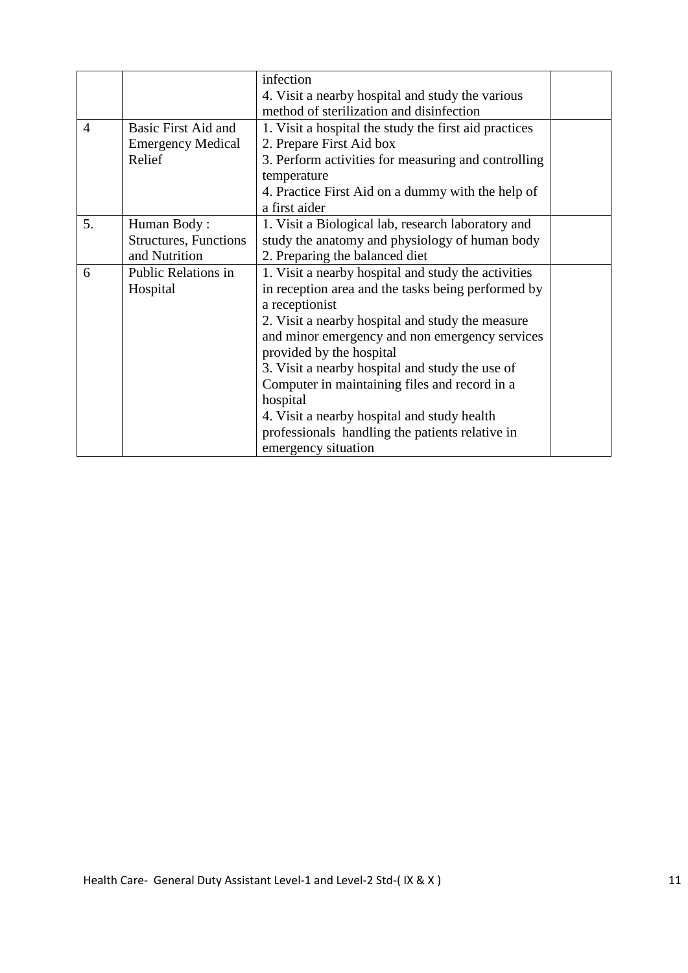|                |                               | infection                                             |  |
|----------------|-------------------------------|-------------------------------------------------------|--|
|                |                               | 4. Visit a nearby hospital and study the various      |  |
|                |                               | method of sterilization and disinfection              |  |
| $\overline{4}$ | Basic First Aid and           | 1. Visit a hospital the study the first aid practices |  |
|                | <b>Emergency Medical</b>      | 2. Prepare First Aid box                              |  |
|                | Relief                        | 3. Perform activities for measuring and controlling   |  |
|                |                               | temperature                                           |  |
|                |                               | 4. Practice First Aid on a dummy with the help of     |  |
|                |                               | a first aider                                         |  |
| 5.             | Human Body:                   | 1. Visit a Biological lab, research laboratory and    |  |
|                | <b>Structures</b> , Functions | study the anatomy and physiology of human body        |  |
|                | and Nutrition                 | 2. Preparing the balanced diet                        |  |
| 6              | Public Relations in           | 1. Visit a nearby hospital and study the activities   |  |
|                | Hospital                      | in reception area and the tasks being performed by    |  |
|                |                               | a receptionist                                        |  |
|                |                               | 2. Visit a nearby hospital and study the measure      |  |
|                |                               | and minor emergency and non emergency services        |  |
|                |                               | provided by the hospital                              |  |
|                |                               | 3. Visit a nearby hospital and study the use of       |  |
|                |                               | Computer in maintaining files and record in a         |  |
|                |                               | hospital                                              |  |
|                |                               | 4. Visit a nearby hospital and study health           |  |
|                |                               | professionals handling the patients relative in       |  |
|                |                               | emergency situation                                   |  |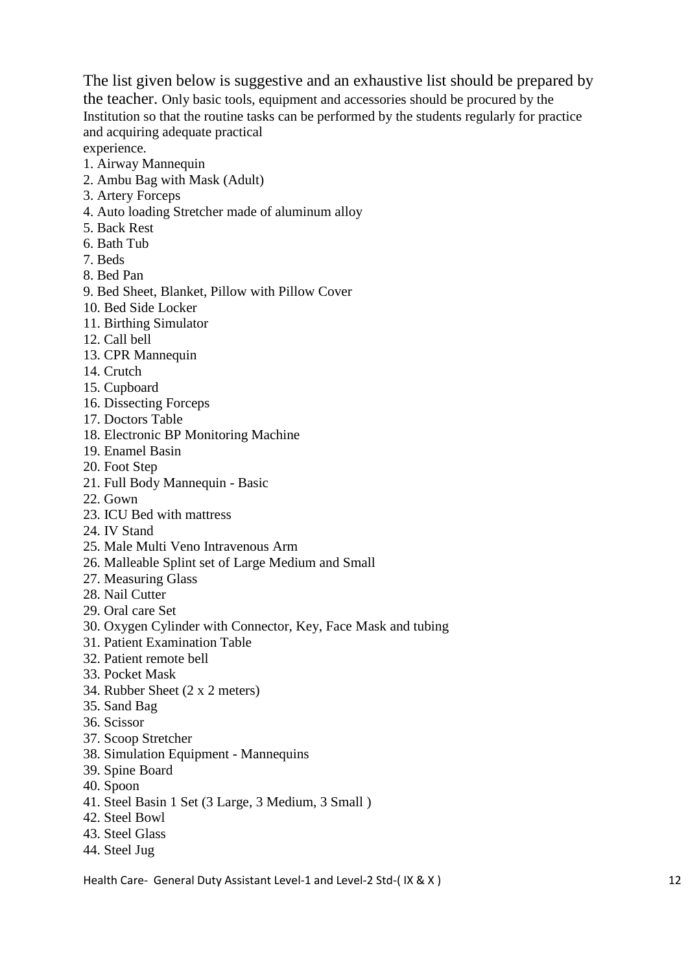The list given below is suggestive and an exhaustive list should be prepared by the teacher. Only basic tools, equipment and accessories should be procured by the Institution so that the routine tasks can be performed by the students regularly for practice and acquiring adequate practical experience.

1. Airway Mannequin

- 2. Ambu Bag with Mask (Adult)
- 3. Artery Forceps
- 4. Auto loading Stretcher made of aluminum alloy
- 5. Back Rest
- 6. Bath Tub
- 7. Beds
- 8. Bed Pan
- 9. Bed Sheet, Blanket, Pillow with Pillow Cover
- 10. Bed Side Locker
- 11. Birthing Simulator
- 12. Call bell
- 13. CPR Mannequin
- 14. Crutch
- 15. Cupboard
- 16. Dissecting Forceps
- 17. Doctors Table
- 18. Electronic BP Monitoring Machine
- 19. Enamel Basin
- 20. Foot Step
- 21. Full Body Mannequin Basic
- 22. Gown
- 23. ICU Bed with mattress
- 24. IV Stand
- 25. Male Multi Veno Intravenous Arm
- 26. Malleable Splint set of Large Medium and Small
- 27. Measuring Glass
- 28. Nail Cutter
- 29. Oral care Set
- 30. Oxygen Cylinder with Connector, Key, Face Mask and tubing
- 31. Patient Examination Table
- 32. Patient remote bell
- 33. Pocket Mask
- 34. Rubber Sheet (2 x 2 meters)
- 35. Sand Bag
- 36. Scissor
- 37. Scoop Stretcher
- 38. Simulation Equipment Mannequins
- 39. Spine Board
- 40. Spoon
- 41. Steel Basin 1 Set (3 Large, 3 Medium, 3 Small )
- 42. Steel Bowl
- 43. Steel Glass
- 44. Steel Jug

Health Care- General Duty Assistant Level-1 and Level-2 Std-(IX & X) 12